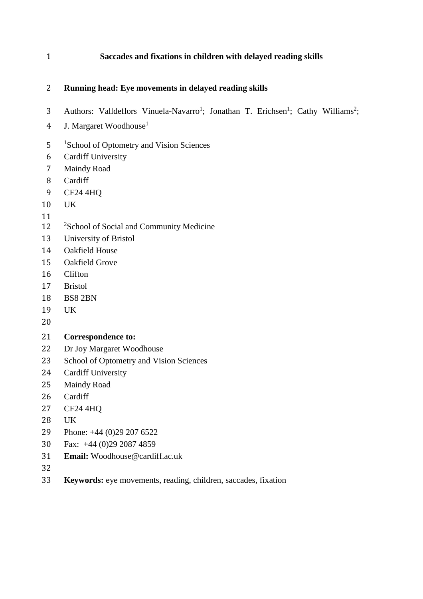# **Saccades and fixations in children with delayed reading skills**

# **Running head: Eye movements in delayed reading skills**

- 3 Authors: Valldeflors Vinuela-Navarro<sup>1</sup>; Jonathan T. Erichsen<sup>1</sup>; Cathy Williams<sup>2</sup>;
- 4 J. Margaret Woodhouse<sup>1</sup>
- 5 <sup>1</sup> School of Optometry and Vision Sciences
- Cardiff University
- Maindy Road
- Cardiff
- CF24 4HQ
- UK
- 
- 12 <sup>2</sup>School of Social and Community Medicine
- University of Bristol
- Oakfield House
- Oakfield Grove
- Clifton
- Bristol
- BS8 2BN
- UK
- 

# **Correspondence to:**

- Dr Joy Margaret Woodhouse
- School of Optometry and Vision Sciences
- Cardiff University
- Maindy Road
- Cardiff
- CF24 4HQ
- UK
- Phone: +44 (0)29 207 6522
- Fax: +44 (0)29 2087 4859
- **Email:** [Woodhouse@cardiff.ac.uk](mailto:Woodhouse@cardiff.ac.uk)
- 
- **Keywords:** eye movements, reading, children, saccades, fixation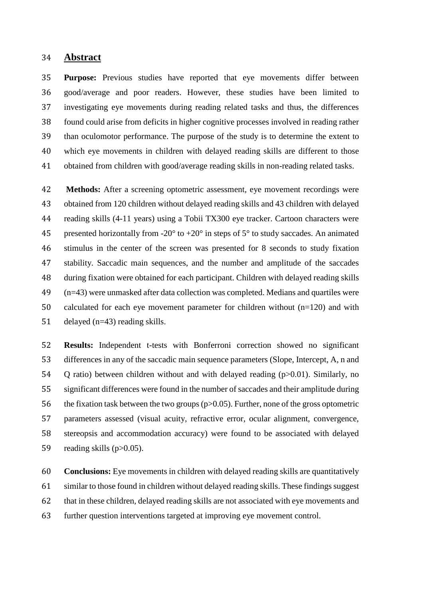## **Abstract**

 **Purpose:** Previous studies have reported that eye movements differ between good/average and poor readers. However, these studies have been limited to investigating eye movements during reading related tasks and thus, the differences found could arise from deficits in higher cognitive processes involved in reading rather than oculomotor performance. The purpose of the study is to determine the extent to which eye movements in children with delayed reading skills are different to those obtained from children with good/average reading skills in non-reading related tasks.

 **Methods:** After a screening optometric assessment, eye movement recordings were obtained from 120 children without delayed reading skills and 43 children with delayed reading skills (4-11 years) using a Tobii TX300 eye tracker. Cartoon characters were 45 presented horizontally from -20 $^{\circ}$  to +20 $^{\circ}$  in steps of 5 $^{\circ}$  to study saccades. An animated stimulus in the center of the screen was presented for 8 seconds to study fixation stability. Saccadic main sequences, and the number and amplitude of the saccades during fixation were obtained for each participant. Children with delayed reading skills (n=43) were unmasked after data collection was completed. Medians and quartiles were calculated for each eye movement parameter for children without (n=120) and with delayed (n=43) reading skills.

 **Results:** Independent t-tests with Bonferroni correction showed no significant differences in any of the saccadic main sequence parameters (Slope, Intercept, A, n and Q ratio) between children without and with delayed reading (p>0.01). Similarly, no significant differences were found in the number of saccades and their amplitude during the fixation task between the two groups(p>0.05). Further, none of the gross optometric parameters assessed (visual acuity, refractive error, ocular alignment, convergence, stereopsis and accommodation accuracy) were found to be associated with delayed 59 reading skills (p>0.05).

 **Conclusions:** Eye movements in children with delayed reading skills are quantitatively 61 similar to those found in children without delayed reading skills. These findings suggest that in these children, delayed reading skills are not associated with eye movements and further question interventions targeted at improving eye movement control.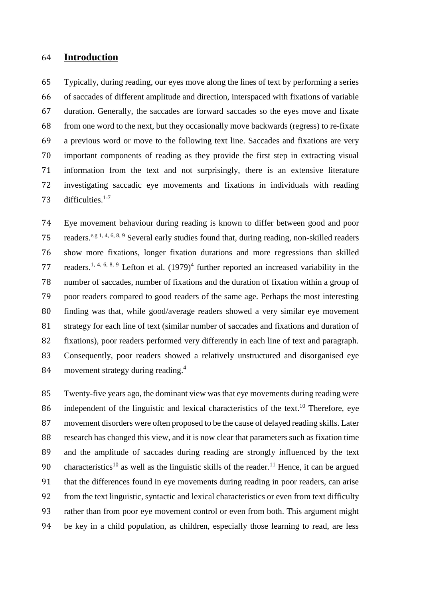# **Introduction**

 Typically, during reading, our eyes move along the lines of text by performing a series of saccades of different amplitude and direction, interspaced with fixations of variable duration. Generally, the saccades are forward saccades so the eyes move and fixate from one word to the next, but they occasionally move backwards (regress) to re-fixate a previous word or move to the following text line. Saccades and fixations are very important components of reading as they provide the first step in extracting visual information from the text and not surprisingly, there is an extensive literature investigating saccadic eye movements and fixations in individuals with reading 73 difficulties. $1-7$ 

 Eye movement behaviour during reading is known to differ between good and poor 75 readers.<sup>e.g 1, 4, 6, 8, 9</sup> Several early studies found that, during reading, non-skilled readers show more fixations, longer fixation durations and more regressions than skilled 77 readers.<sup>1, 4, 6, 8, 9</sup> Lefton et al.  $(1979)^4$  further reported an increased variability in the number of saccades, number of fixations and the duration of fixation within a group of poor readers compared to good readers of the same age. Perhaps the most interesting finding was that, while good/average readers showed a very similar eye movement strategy for each line of text (similar number of saccades and fixations and duration of fixations), poor readers performed very differently in each line of text and paragraph. Consequently, poor readers showed a relatively unstructured and disorganised eye 84 movement strategy during reading.<sup>4</sup>

 Twenty-five years ago, the dominant view was that eye movements during reading were 86 independent of the linguistic and lexical characteristics of the text.<sup>10</sup> Therefore, eye movement disorders were often proposed to be the cause of delayed reading skills. Later research has changed this view, and it is now clear that parameters such as fixation time and the amplitude of saccades during reading are strongly influenced by the text 90 characteristics<sup>10</sup> as well as the linguistic skills of the reader.<sup>11</sup> Hence, it can be argued that the differences found in eye movements during reading in poor readers, can arise from the text linguistic, syntactic and lexical characteristics or even from text difficulty rather than from poor eye movement control or even from both. This argument might be key in a child population, as children, especially those learning to read, are less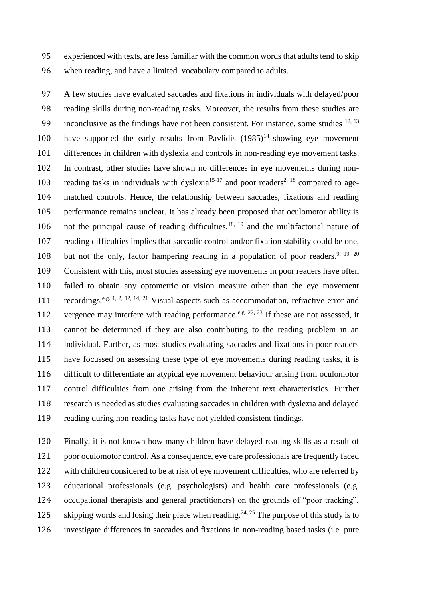experienced with texts, are less familiar with the common words that adults tend to skip when reading, and have a limited vocabulary compared to adults.

 A few studies have evaluated saccades and fixations in individuals with delayed/poor reading skills during non-reading tasks. Moreover, the results from these studies are 99 inconclusive as the findings have not been consistent. For instance, some studies  $12, 13$ 100 have supported the early results from Pavlidis  $(1985)^{14}$  showing eye movement differences in children with dyslexia and controls in non-reading eye movement tasks. In contrast, other studies have shown no differences in eye movements during non-103 reading tasks in individuals with dyslexia<sup>15-17</sup> and poor readers<sup>2, 18</sup> compared to age- matched controls. Hence, the relationship between saccades, fixations and reading performance remains unclear. It has already been proposed that oculomotor ability is 106 not the principal cause of reading difficulties,  $18, 19$  and the multifactorial nature of reading difficulties implies that saccadic control and/or fixation stability could be one, 108 but not the only, factor hampering reading in a population of poor readers.<sup>9, 19, 20</sup> Consistent with this, most studies assessing eye movements in poor readers have often failed to obtain any optometric or vision measure other than the eye movement 111 recordings.<sup>e.g. 1, 2, 12, 14, 21</sup> Visual aspects such as accommodation, refractive error and 112 vergence may interfere with reading performance.<sup>e.g. 22, 23</sup> If these are not assessed, it cannot be determined if they are also contributing to the reading problem in an individual. Further, as most studies evaluating saccades and fixations in poor readers have focussed on assessing these type of eye movements during reading tasks, it is difficult to differentiate an atypical eye movement behaviour arising from oculomotor control difficulties from one arising from the inherent text characteristics. Further research is needed as studies evaluating saccades in children with dyslexia and delayed reading during non-reading tasks have not yielded consistent findings.

 Finally, it is not known how many children have delayed reading skills as a result of poor oculomotor control. As a consequence, eye care professionals are frequently faced with children considered to be at risk of eye movement difficulties, who are referred by educational professionals (e.g. psychologists) and health care professionals (e.g. occupational therapists and general practitioners) on the grounds of "poor tracking", 125 skipping words and losing their place when reading.<sup>24, 25</sup> The purpose of this study is to investigate differences in saccades and fixations in non-reading based tasks (i.e. pure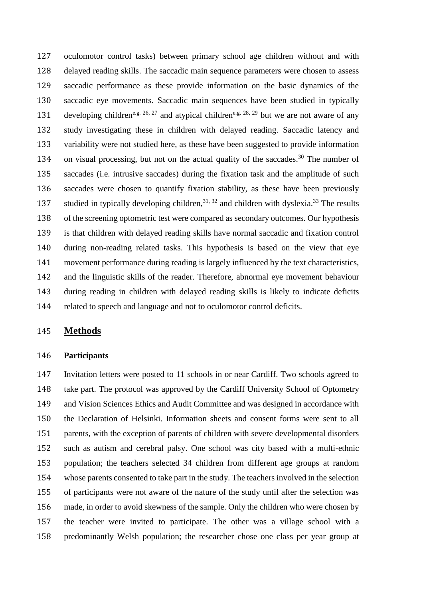oculomotor control tasks) between primary school age children without and with delayed reading skills. The saccadic main sequence parameters were chosen to assess saccadic performance as these provide information on the basic dynamics of the saccadic eye movements. Saccadic main sequences have been studied in typically 131 developing children<sup>e.g. 26, 27</sup> and atypical children<sup>e.g. 28, 29</sup> but we are not aware of any study investigating these in children with delayed reading. Saccadic latency and variability were not studied here, as these have been suggested to provide information 134 on visual processing, but not on the actual quality of the saccades.<sup>30</sup> The number of saccades (i.e. intrusive saccades) during the fixation task and the amplitude of such saccades were chosen to quantify fixation stability, as these have been previously 137 studied in typically developing children,  $31, 32$  and children with dyslexia.  $33$  The results of the screening optometric test were compared as secondary outcomes. Our hypothesis is that children with delayed reading skills have normal saccadic and fixation control during non-reading related tasks. This hypothesis is based on the view that eye movement performance during reading is largely influenced by the text characteristics, and the linguistic skills of the reader. Therefore, abnormal eye movement behaviour during reading in children with delayed reading skills is likely to indicate deficits related to speech and language and not to oculomotor control deficits.

# **Methods**

#### **Participants**

 Invitation letters were posted to 11 schools in or near Cardiff. Two schools agreed to take part. The protocol was approved by the Cardiff University School of Optometry and Vision Sciences Ethics and Audit Committee and was designed in accordance with the Declaration of Helsinki. Information sheets and consent forms were sent to all parents, with the exception of parents of children with severe developmental disorders such as autism and cerebral palsy. One school was city based with a multi-ethnic population; the teachers selected 34 children from different age groups at random whose parents consented to take part in the study. The teachers involved in the selection of participants were not aware of the nature of the study until after the selection was made, in order to avoid skewness of the sample. Only the children who were chosen by the teacher were invited to participate. The other was a village school with a predominantly Welsh population; the researcher chose one class per year group at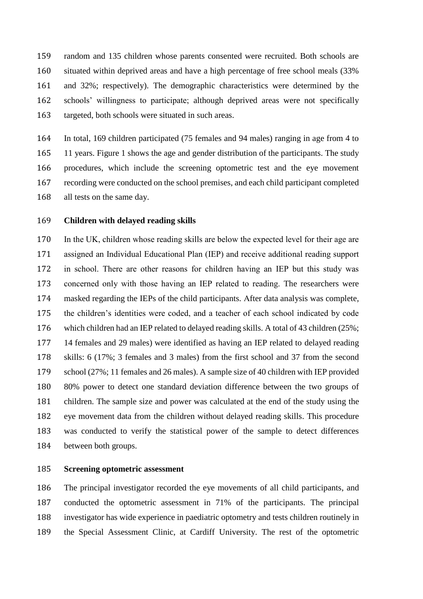random and 135 children whose parents consented were recruited. Both schools are situated within deprived areas and have a high percentage of free school meals (33% and 32%; respectively). The demographic characteristics were determined by the schools' willingness to participate; although deprived areas were not specifically targeted, both schools were situated in such areas.

 In total, 169 children participated (75 females and 94 males) ranging in age from 4 to 11 years. Figure 1 shows the age and gender distribution of the participants. The study procedures, which include the screening optometric test and the eye movement recording were conducted on the school premises, and each child participant completed all tests on the same day.

## **Children with delayed reading skills**

 In the UK, children whose reading skills are below the expected level for their age are assigned an Individual Educational Plan (IEP) and receive additional reading support in school. There are other reasons for children having an IEP but this study was concerned only with those having an IEP related to reading. The researchers were masked regarding the IEPs of the child participants. After data analysis was complete, the children's identities were coded, and a teacher of each school indicated by code which children had an IEP related to delayed reading skills. A total of 43 children (25%; 14 females and 29 males) were identified as having an IEP related to delayed reading skills: 6 (17%; 3 females and 3 males) from the first school and 37 from the second school (27%; 11 females and 26 males). A sample size of 40 children with IEP provided 80% power to detect one standard deviation difference between the two groups of children. The sample size and power was calculated at the end of the study using the eye movement data from the children without delayed reading skills. This procedure was conducted to verify the statistical power of the sample to detect differences between both groups.

#### **Screening optometric assessment**

 The principal investigator recorded the eye movements of all child participants, and conducted the optometric assessment in 71% of the participants. The principal investigator has wide experience in paediatric optometry and tests children routinely in the Special Assessment Clinic, at Cardiff University. The rest of the optometric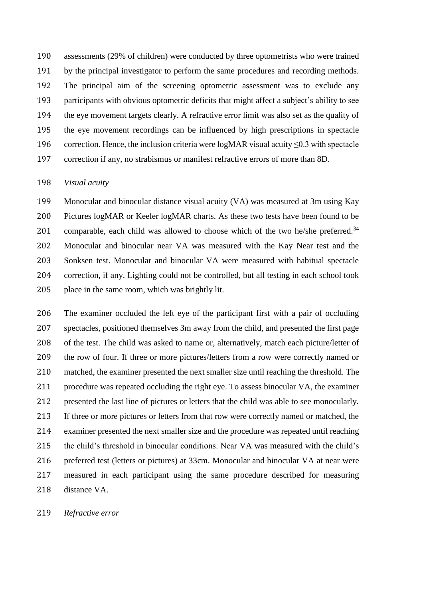assessments (29% of children) were conducted by three optometrists who were trained by the principal investigator to perform the same procedures and recording methods. The principal aim of the screening optometric assessment was to exclude any participants with obvious optometric deficits that might affect a subject's ability to see the eye movement targets clearly. A refractive error limit was also set as the quality of the eye movement recordings can be influenced by high prescriptions in spectacle 196 correction. Hence, the inclusion criteria were logMAR visual acuity  $\leq 0.3$  with spectacle correction if any, no strabismus or manifest refractive errors of more than 8D.

#### *Visual acuity*

 Monocular and binocular distance visual acuity (VA) was measured at 3m using Kay Pictures logMAR or Keeler logMAR charts. As these two tests have been found to be 201 comparable, each child was allowed to choose which of the two he/she preferred.<sup>34</sup> Monocular and binocular near VA was measured with the Kay Near test and the Sonksen test. Monocular and binocular VA were measured with habitual spectacle correction, if any. Lighting could not be controlled, but all testing in each school took place in the same room, which was brightly lit.

 The examiner occluded the left eye of the participant first with a pair of occluding spectacles, positioned themselves 3m away from the child, and presented the first page of the test. The child was asked to name or, alternatively, match each picture/letter of the row of four. If three or more pictures/letters from a row were correctly named or matched, the examiner presented the next smaller size until reaching the threshold. The procedure was repeated occluding the right eye. To assess binocular VA, the examiner presented the last line of pictures or letters that the child was able to see monocularly. If three or more pictures or letters from that row were correctly named or matched, the examiner presented the next smaller size and the procedure was repeated until reaching the child's threshold in binocular conditions. Near VA was measured with the child's preferred test (letters or pictures) at 33cm. Monocular and binocular VA at near were measured in each participant using the same procedure described for measuring distance VA.

### *Refractive error*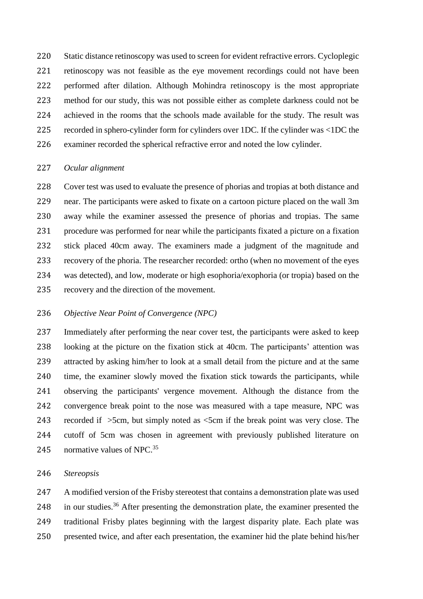Static distance retinoscopy was used to screen for evident refractive errors. Cycloplegic retinoscopy was not feasible as the eye movement recordings could not have been performed after dilation. Although Mohindra retinoscopy is the most appropriate method for our study, this was not possible either as complete darkness could not be achieved in the rooms that the schools made available for the study. The result was recorded in sphero-cylinder form for cylinders over 1DC. If the cylinder was <1DC the examiner recorded the spherical refractive error and noted the low cylinder.

#### *Ocular alignment*

 Cover test was used to evaluate the presence of phorias and tropias at both distance and near. The participants were asked to fixate on a cartoon picture placed on the wall 3m away while the examiner assessed the presence of phorias and tropias. The same procedure was performed for near while the participants fixated a picture on a fixation stick placed 40cm away. The examiners made a judgment of the magnitude and recovery of the phoria. The researcher recorded: ortho (when no movement of the eyes was detected), and low, moderate or high esophoria/exophoria (or tropia) based on the recovery and the direction of the movement.

## *Objective Near Point of Convergence (NPC)*

 Immediately after performing the near cover test, the participants were asked to keep looking at the picture on the fixation stick at 40cm. The participants' attention was attracted by asking him/her to look at a small detail from the picture and at the same time, the examiner slowly moved the fixation stick towards the participants, while observing the participants' vergence movement. Although the distance from the convergence break point to the nose was measured with a tape measure, NPC was recorded if >5cm, but simply noted as <5cm if the break point was very close. The cutoff of 5cm was chosen in agreement with previously published literature on 245 normative values of NPC.

#### *Stereopsis*

 A modified version of the Frisby stereotest that contains a demonstration plate was used 248 in our studies.<sup>36</sup> After presenting the demonstration plate, the examiner presented the traditional Frisby plates beginning with the largest disparity plate. Each plate was presented twice, and after each presentation, the examiner hid the plate behind his/her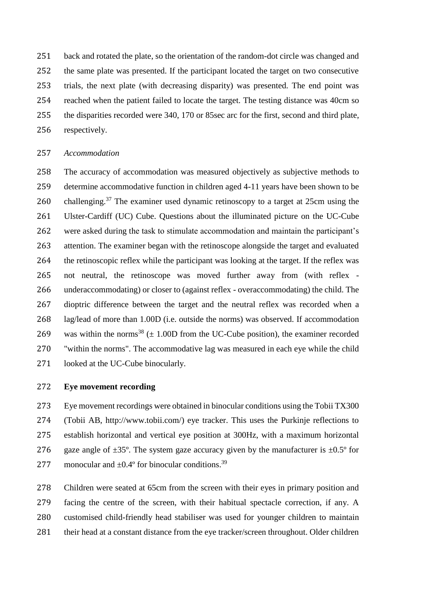back and rotated the plate, so the orientation of the random-dot circle was changed and the same plate was presented. If the participant located the target on two consecutive trials, the next plate (with decreasing disparity) was presented. The end point was reached when the patient failed to locate the target. The testing distance was 40cm so the disparities recorded were 340, 170 or 85sec arc for the first, second and third plate, respectively.

## *Accommodation*

 The accuracy of accommodation was measured objectively as subjective methods to determine accommodative function in children aged 4-11 years have been shown to be 260 challenging.<sup>37</sup> The examiner used dynamic retinoscopy to a target at 25cm using the Ulster-Cardiff (UC) Cube. Questions about the illuminated picture on the UC-Cube were asked during the task to stimulate accommodation and maintain the participant's attention. The examiner began with the retinoscope alongside the target and evaluated the retinoscopic reflex while the participant was looking at the target. If the reflex was not neutral, the retinoscope was moved further away from (with reflex - underaccommodating) or closer to (against reflex - overaccommodating) the child. The dioptric difference between the target and the neutral reflex was recorded when a lag/lead of more than 1.00D (i.e. outside the norms) was observed. If accommodation 269 was within the norms<sup>38</sup>  $(\pm 1.00D$  from the UC-Cube position), the examiner recorded "within the norms". The accommodative lag was measured in each eye while the child looked at the UC-Cube binocularly.

## **Eye movement recording**

 Eye movement recordings were obtained in binocular conditions using the Tobii TX300 (Tobii AB, http://www.tobii.com/) eye tracker. This uses the Purkinje reflections to establish horizontal and vertical eye position at 300Hz, with a maximum horizontal 276 gaze angle of  $\pm 35^{\circ}$ . The system gaze accuracy given by the manufacturer is  $\pm 0.5^{\circ}$  for 277 monocular and  $\pm 0.4^{\circ}$  for binocular conditions.<sup>39</sup>

 Children were seated at 65cm from the screen with their eyes in primary position and facing the centre of the screen, with their habitual spectacle correction, if any. A customised child-friendly head stabiliser was used for younger children to maintain their head at a constant distance from the eye tracker/screen throughout. Older children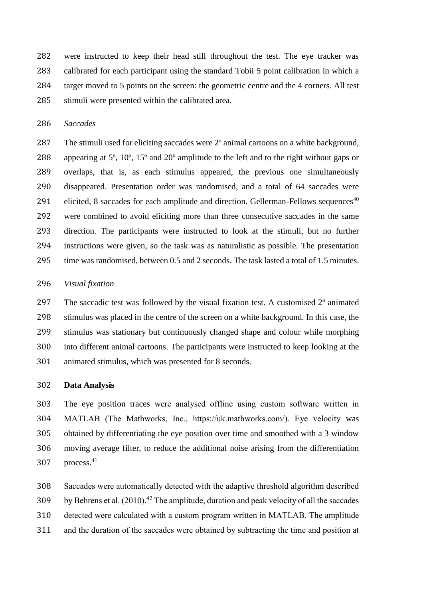were instructed to keep their head still throughout the test. The eye tracker was calibrated for each participant using the standard Tobii 5 point calibration in which a target moved to 5 points on the screen: the geometric centre and the 4 corners. All test stimuli were presented within the calibrated area.

### *Saccades*

 The stimuli used for eliciting saccades were 2º animal cartoons on a white background, appearing at 5º, 10º, 15º and 20º amplitude to the left and to the right without gaps or overlaps, that is, as each stimulus appeared, the previous one simultaneously disappeared. Presentation order was randomised, and a total of 64 saccades were 291 elicited, 8 saccades for each amplitude and direction. Gellerman-Fellows sequences<sup>40</sup> were combined to avoid eliciting more than three consecutive saccades in the same direction. The participants were instructed to look at the stimuli, but no further instructions were given, so the task was as naturalistic as possible. The presentation 295 time was randomised, between 0.5 and 2 seconds. The task lasted a total of 1.5 minutes.

#### *Visual fixation*

 The saccadic test was followed by the visual fixation test. A customised 2º animated stimulus was placed in the centre of the screen on a white background. In this case, the stimulus was stationary but continuously changed shape and colour while morphing into different animal cartoons. The participants were instructed to keep looking at the animated stimulus, which was presented for 8 seconds.

#### **Data Analysis**

 The eye position traces were analysed offline using custom software written in MATLAB (The Mathworks, Inc., https://uk.mathworks.com/). Eye velocity was obtained by differentiating the eye position over time and smoothed with a 3 window moving average filter, to reduce the additional noise arising from the differentiation 307 process.

 Saccades were automatically detected with the adaptive threshold algorithm described 309 by Behrens et al.  $(2010).<sup>42</sup>$  The amplitude, duration and peak velocity of all the saccades detected were calculated with a custom program written in MATLAB. The amplitude and the duration of the saccades were obtained by subtracting the time and position at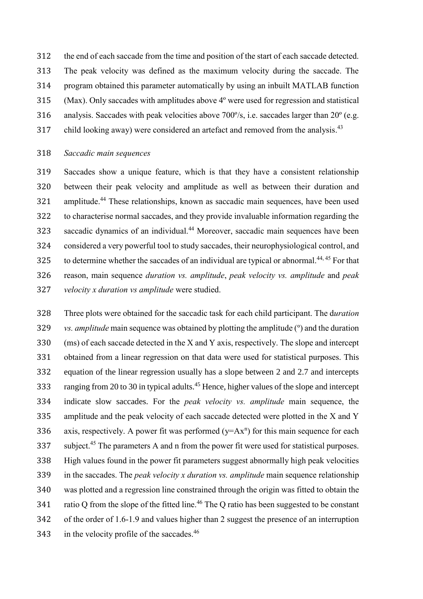the end of each saccade from the time and position of the start of each saccade detected.

- The peak velocity was defined as the maximum velocity during the saccade. The
- program obtained this parameter automatically by using an inbuilt MATLAB function
- (Max). Only saccades with amplitudes above 4º were used for regression and statistical
- analysis. Saccades with peak velocities above 700º/s, i.e. saccades larger than 20º (e.g.
- 317 child looking away) were considered an artefact and removed from the analysis.<sup>43</sup>

## *Saccadic main sequences*

 Saccades show a unique feature, which is that they have a consistent relationship between their peak velocity and amplitude as well as between their duration and 321 amplitude.<sup>44</sup> These relationships, known as saccadic main sequences, have been used to characterise normal saccades, and they provide invaluable information regarding the 323 saccadic dynamics of an individual.<sup>44</sup> Moreover, saccadic main sequences have been considered a very powerful tool to study saccades, their neurophysiological control, and 325 to determine whether the saccades of an individual are typical or abnormal.<sup>44, 45</sup> For that reason, main sequence *duration vs. amplitude*, *peak velocity vs. amplitude* and *peak velocity x duration vs amplitude* were studied.

 Three plots were obtained for the saccadic task for each child participant. The d*uration vs. amplitude* main sequence was obtained by plotting the amplitude (º) and the duration (ms) of each saccade detected in the X and Y axis, respectively. The slope and intercept obtained from a linear regression on that data were used for statistical purposes. This equation of the linear regression usually has a slope between 2 and 2.7 and intercepts 333 ranging from 20 to 30 in typical adults.<sup>45</sup> Hence, higher values of the slope and intercept indicate slow saccades. For the *peak velocity vs. amplitude* main sequence, the amplitude and the peak velocity of each saccade detected were plotted in the X and Y 336 axis, respectively. A power fit was performed  $(y=Ax^n)$  for this main sequence for each 337 subject.<sup>45</sup> The parameters A and n from the power fit were used for statistical purposes. High values found in the power fit parameters suggest abnormally high peak velocities in the saccades. The *peak velocity x duration vs. amplitude* main sequence relationship was plotted and a regression line constrained through the origin was fitted to obtain the  $\cdot$  ratio Q from the slope of the fitted line.<sup>46</sup> The Q ratio has been suggested to be constant of the order of 1.6-1.9 and values higher than 2 suggest the presence of an interruption 343 in the velocity profile of the saccades.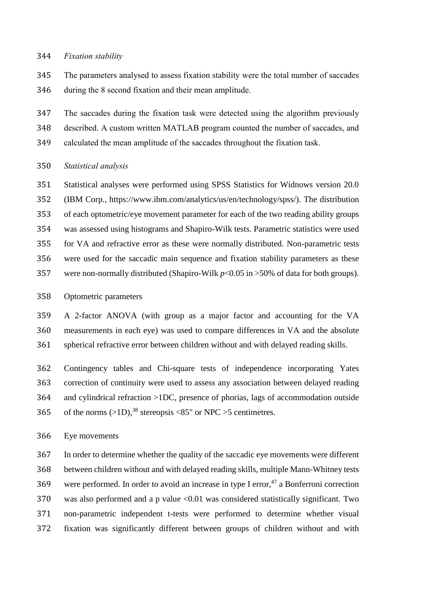#### *Fixation stability*

 The parameters analysed to assess fixation stability were the total number of saccades during the 8 second fixation and their mean amplitude.

 The saccades during the fixation task were detected using the algorithm previously described. A custom written MATLAB program counted the number of saccades, and calculated the mean amplitude of the saccades throughout the fixation task.

# *Statistical analysis*

 Statistical analyses were performed using SPSS Statistics for Widnows version 20.0 (IBM Corp., https://www.ibm.com/analytics/us/en/technology/spss/). The distribution of each optometric/eye movement parameter for each of the two reading ability groups was assessed using histograms and Shapiro-Wilk tests. Parametric statistics were used for VA and refractive error as these were normally distributed. Non-parametric tests were used for the saccadic main sequence and fixation stability parameters as these were non-normally distributed (Shapiro-Wilk *p*<0.05 in >50% of data for both groups).

# Optometric parameters

 A 2-factor ANOVA (with group as a major factor and accounting for the VA measurements in each eye) was used to compare differences in VA and the absolute spherical refractive error between children without and with delayed reading skills.

 Contingency tables and Chi-square tests of independence incorporating Yates correction of continuity were used to assess any association between delayed reading and cylindrical refraction >1DC, presence of phorias, lags of accommodation outside 365 of the norms  $(>1D)$ ,<sup>38</sup> stereopsis <85" or NPC >5 centimetres.

Eye movements

 In order to determine whether the quality of the saccadic eye movements were different between children without and with delayed reading skills, multiple Mann-Whitney tests 369 were performed. In order to avoid an increase in type I error, a Bonferroni correction 370 was also performed and a p value <0.01 was considered statistically significant. Two non-parametric independent t-tests were performed to determine whether visual fixation was significantly different between groups of children without and with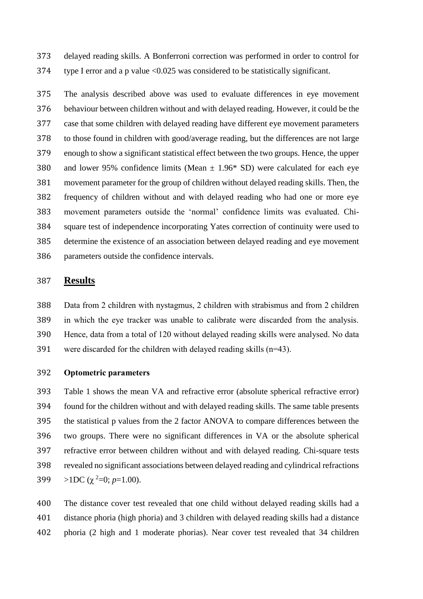delayed reading skills. A Bonferroni correction was performed in order to control for type I error and a p value <0.025 was considered to be statistically significant.

 The analysis described above was used to evaluate differences in eye movement behaviour between children without and with delayed reading. However, it could be the case that some children with delayed reading have different eye movement parameters to those found in children with good/average reading, but the differences are not large enough to show a significant statistical effect between the two groups. Hence, the upper 380 and lower 95% confidence limits (Mean  $\pm$  1.96\* SD) were calculated for each eye movement parameter for the group of children without delayed reading skills. Then, the frequency of children without and with delayed reading who had one or more eye movement parameters outside the 'normal' confidence limits was evaluated. Chi- square test of independence incorporating Yates correction of continuity were used to determine the existence of an association between delayed reading and eye movement parameters outside the confidence intervals.

# **Results**

 Data from 2 children with nystagmus, 2 children with strabismus and from 2 children in which the eye tracker was unable to calibrate were discarded from the analysis. Hence, data from a total of 120 without delayed reading skills were analysed. No data 391 were discarded for the children with delayed reading skills  $(n=43)$ .

## **Optometric parameters**

 Table 1 shows the mean VA and refractive error (absolute spherical refractive error) found for the children without and with delayed reading skills. The same table presents the statistical p values from the 2 factor ANOVA to compare differences between the two groups. There were no significant differences in VA or the absolute spherical refractive error between children without and with delayed reading. Chi-square tests revealed no significant associations between delayed reading and cylindrical refractions  $>1DC$  ( $\chi^2=0$ ;  $p=1.00$ ).

 The distance cover test revealed that one child without delayed reading skills had a distance phoria (high phoria) and 3 children with delayed reading skills had a distance phoria (2 high and 1 moderate phorias). Near cover test revealed that 34 children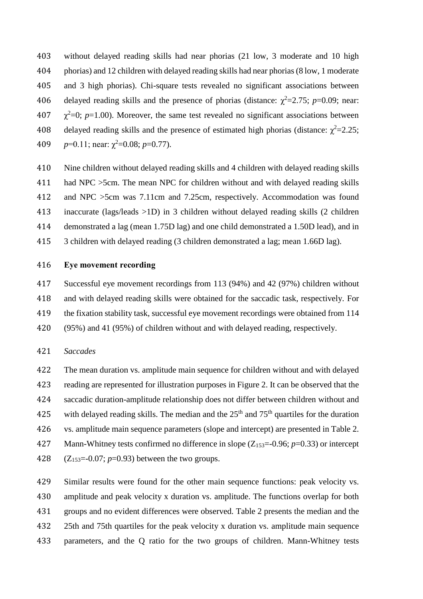without delayed reading skills had near phorias (21 low, 3 moderate and 10 high phorias) and 12 children with delayed reading skills had near phorias (8 low, 1 moderate and 3 high phorias). Chi-square tests revealed no significant associations between 406 delayed reading skills and the presence of phorias (distance:  $\chi^2$ =2.75; *p*=0.09; near:  $\chi^2$ =0; *p*=1.00). Moreover, the same test revealed no significant associations between 408 delayed reading skills and the presence of estimated high phorias (distance:  $\chi^2$ =2.25;  $p=0.11$ ; near:  $\chi^2=0.08$ ;  $p=0.77$ ).

 Nine children without delayed reading skills and 4 children with delayed reading skills had NPC >5cm. The mean NPC for children without and with delayed reading skills and NPC >5cm was 7.11cm and 7.25cm, respectively. Accommodation was found inaccurate (lags/leads >1D) in 3 children without delayed reading skills (2 children demonstrated a lag (mean 1.75D lag) and one child demonstrated a 1.50D lead), and in 3 children with delayed reading (3 children demonstrated a lag; mean 1.66D lag).

# **Eye movement recording**

 Successful eye movement recordings from 113 (94%) and 42 (97%) children without and with delayed reading skills were obtained for the saccadic task, respectively. For the fixation stability task, successful eye movement recordings were obtained from 114 (95%) and 41 (95%) of children without and with delayed reading, respectively.

#### *Saccades*

 The mean duration vs. amplitude main sequence for children without and with delayed reading are represented for illustration purposes in Figure 2. It can be observed that the saccadic duration-amplitude relationship does not differ between children without and 425 with delayed reading skills. The median and the  $25<sup>th</sup>$  and  $75<sup>th</sup>$  quartiles for the duration vs. amplitude main sequence parameters (slope and intercept) are presented in Table 2. 427 Mann-Whitney tests confirmed no difference in slope (Z<sub>153</sub>=-0.96; *p*=0.33) or intercept 428 ( $Z_{153} = -0.07$ ;  $p = 0.93$ ) between the two groups.

 Similar results were found for the other main sequence functions: peak velocity vs. amplitude and peak velocity x duration vs. amplitude. The functions overlap for both groups and no evident differences were observed. Table 2 presents the median and the 25th and 75th quartiles for the peak velocity x duration vs. amplitude main sequence parameters, and the Q ratio for the two groups of children. Mann-Whitney tests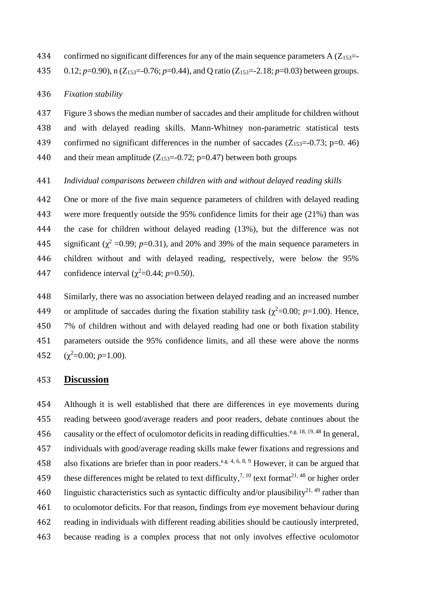434 confirmed no significant differences for any of the main sequence parameters  $A(Z_{153}=$ 

0.12; *p*=0.90), n (Z153=-0.76; *p*=0.44), and Q ratio (Z153=-2.18; *p*=0.03) between groups.

#### *Fixation stability*

 Figure 3 shows the median number of saccades and their amplitude for children without and with delayed reading skills. Mann-Whitney non-parametric statistical tests 439 confirmed no significant differences in the number of saccades  $(Z_{153}=0.73; p=0.46)$ 440 and their mean amplitude  $(Z_{153}=-0.72; p=0.47)$  between both groups

# *Individual comparisons between children with and without delayed reading skills*

 One or more of the five main sequence parameters of children with delayed reading were more frequently outside the 95% confidence limits for their age (21%) than was the case for children without delayed reading (13%), but the difference was not 445 significant ( $\chi^2$  =0.99; *p*=0.31), and 20% and 39% of the main sequence parameters in children without and with delayed reading, respectively, were below the 95% 447 confidence interval  $(\chi^2 = 0.44; p = 0.50)$ .

 Similarly, there was no association between delayed reading and an increased number 449 or amplitude of saccades during the fixation stability task ( $\chi^2$ =0.00; *p*=1.00). Hence, 7% of children without and with delayed reading had one or both fixation stability parameters outside the 95% confidence limits, and all these were above the norms  $(\chi^2=0.00; p=1.00)$ .

## **Discussion**

 Although it is well established that there are differences in eye movements during reading between good/average readers and poor readers, debate continues about the 456 causality or the effect of oculomotor deficits in reading difficulties.<sup>e.g. 18, 19, 48</sup> In general, individuals with good/average reading skills make fewer fixations and regressions and 458 also fixations are briefer than in poor readers.<sup>e.g. 4, 6, 8, 9</sup> However, it can be argued that 459 these differences might be related to text difficulty,<sup>7, 10</sup> text format<sup>21, 48</sup> or higher order 460 linguistic characteristics such as syntactic difficulty and/or plausibility<sup>21, 49</sup> rather than to oculomotor deficits. For that reason, findings from eye movement behaviour during reading in individuals with different reading abilities should be cautiously interpreted, because reading is a complex process that not only involves effective oculomotor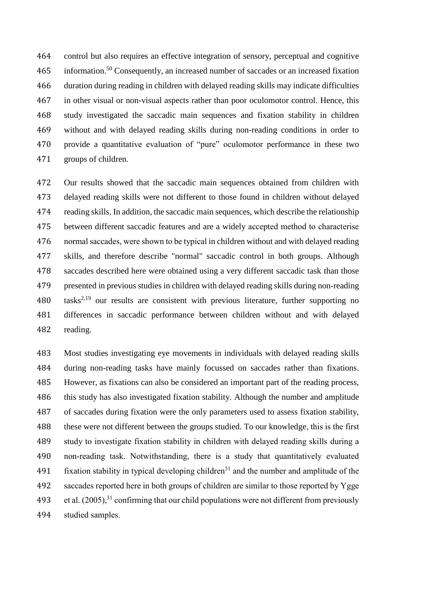control but also requires an effective integration of sensory, perceptual and cognitive 465 information.<sup>50</sup> Consequently, an increased number of saccades or an increased fixation duration during reading in children with delayed reading skills may indicate difficulties in other visual or non-visual aspects rather than poor oculomotor control. Hence, this study investigated the saccadic main sequences and fixation stability in children without and with delayed reading skills during non-reading conditions in order to provide a quantitative evaluation of "pure" oculomotor performance in these two groups of children.

 Our results showed that the saccadic main sequences obtained from children with delayed reading skills were not different to those found in children without delayed reading skills. In addition, the saccadic main sequences, which describe the relationship between different saccadic features and are a widely accepted method to characterise normal saccades, were shown to be typical in children without and with delayed reading skills, and therefore describe "normal" saccadic control in both groups. Although saccades described here were obtained using a very different saccadic task than those presented in previous studies in children with delayed reading skills during non-reading  $\text{task}^{2,19}$  our results are consistent with previous literature, further supporting no differences in saccadic performance between children without and with delayed reading.

 Most studies investigating eye movements in individuals with delayed reading skills during non-reading tasks have mainly focussed on saccades rather than fixations. However, as fixations can also be considered an important part of the reading process, this study has also investigated fixation stability. Although the number and amplitude of saccades during fixation were the only parameters used to assess fixation stability, these were not different between the groups studied. To our knowledge, this is the first study to investigate fixation stability in children with delayed reading skills during a non-reading task. Notwithstanding, there is a study that quantitatively evaluated 491 fixation stability in typical developing children<sup>31</sup> and the number and amplitude of the saccades reported here in both groups of children are similar to those reported by Ygge 493 et al.  $(2005)^{31}$  confirming that our child populations were not different from previously studied samples.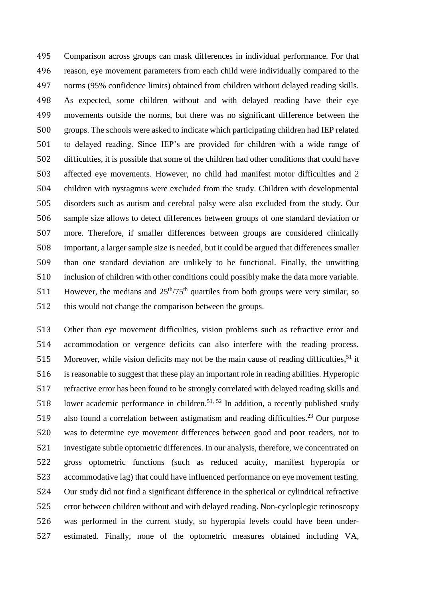Comparison across groups can mask differences in individual performance. For that reason, eye movement parameters from each child were individually compared to the norms (95% confidence limits) obtained from children without delayed reading skills. As expected, some children without and with delayed reading have their eye movements outside the norms, but there was no significant difference between the groups. The schools were asked to indicate which participating children had IEP related to delayed reading. Since IEP's are provided for children with a wide range of difficulties, it is possible that some of the children had other conditions that could have affected eye movements. However, no child had manifest motor difficulties and 2 children with nystagmus were excluded from the study. Children with developmental disorders such as autism and cerebral palsy were also excluded from the study. Our sample size allows to detect differences between groups of one standard deviation or more. Therefore, if smaller differences between groups are considered clinically important, a larger sample size is needed, but it could be argued that differences smaller than one standard deviation are unlikely to be functional. Finally, the unwitting inclusion of children with other conditions could possibly make the data more variable. 511 However, the medians and  $25<sup>th</sup>/75<sup>th</sup>$  quartiles from both groups were very similar, so this would not change the comparison between the groups.

 Other than eye movement difficulties, vision problems such as refractive error and accommodation or vergence deficits can also interfere with the reading process. 515 Moreover, while vision deficits may not be the main cause of reading difficulties, it is reasonable to suggest that these play an important role in reading abilities. Hyperopic refractive error has been found to be strongly correlated with delayed reading skills and 518 lower academic performance in children.<sup>51, 52</sup> In addition, a recently published study 519 also found a correlation between astigmatism and reading difficulties.<sup>23</sup> Our purpose was to determine eye movement differences between good and poor readers, not to investigate subtle optometric differences. In our analysis, therefore, we concentrated on gross optometric functions (such as reduced acuity, manifest hyperopia or accommodative lag) that could have influenced performance on eye movement testing. Our study did not find a significant difference in the spherical or cylindrical refractive error between children without and with delayed reading. Non-cycloplegic retinoscopy was performed in the current study, so hyperopia levels could have been under-estimated. Finally, none of the optometric measures obtained including VA,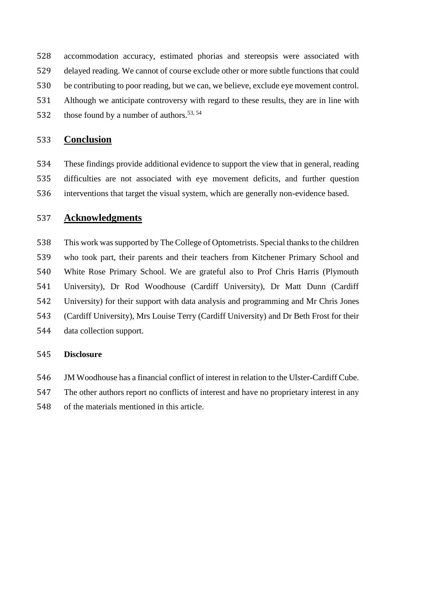accommodation accuracy, estimated phorias and stereopsis were associated with delayed reading. We cannot of course exclude other or more subtle functions that could

- be contributing to poor reading, but we can, we believe, exclude eye movement control.
- Although we anticipate controversy with regard to these results, they are in line with
- 532 those found by a number of authors.  $53, 54$

# **Conclusion**

 These findings provide additional evidence to support the view that in general, reading difficulties are not associated with eye movement deficits, and further question interventions that target the visual system, which are generally non-evidence based.

# **Acknowledgments**

 This work was supported by The College of Optometrists. Special thanks to the children who took part, their parents and their teachers from Kitchener Primary School and White Rose Primary School. We are grateful also to Prof Chris Harris (Plymouth University), Dr Rod Woodhouse (Cardiff University), Dr Matt Dunn (Cardiff University) for their support with data analysis and programming and Mr Chris Jones (Cardiff University), Mrs Louise Terry (Cardiff University) and Dr Beth Frost for their data collection support.

# **Disclosure**

- JM Woodhouse has a financial conflict of interest in relation to the Ulster-Cardiff Cube.
- The other authors report no conflicts of interest and have no proprietary interest in any
- of the materials mentioned in this article.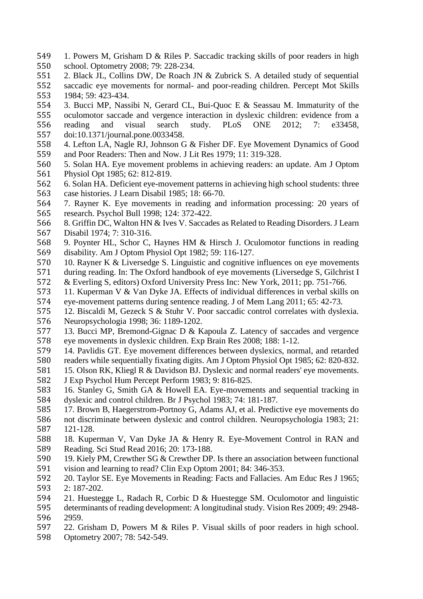- 1. Powers M, Grisham D & Riles P. Saccadic tracking skills of poor readers in high 550 school. Optometry 2008; 79: 228-234.<br>551 2. Black JL. Collins DW. De Roach J
- 2. Black JL, Collins DW, De Roach JN & Zubrick S. A detailed study of sequential 552 saccadic eye movements for normal- and poor-reading children. Percept Mot Skills 553 1984; 59: 423-434. 1984; 59: 423-434.
- 3. Bucci MP, Nassibi N, Gerard CL, Bui-Quoc E & Seassau M. Immaturity of the oculomotor saccade and vergence interaction in dyslexic children: evidence from a
- reading and visual search study. PLoS ONE 2012; 7: e33458, doi:10.1371/journal.pone.0033458.
- 4. Lefton LA, Nagle RJ, Johnson G & Fisher DF. Eye Movement Dynamics of Good and Poor Readers: Then and Now. J Lit Res 1979; 11: 319-328.
- 5. Solan HA. Eye movement problems in achieving readers: an update. Am J Optom Physiol Opt 1985; 62: 812-819.
- 6. Solan HA. Deficient eye-movement patterns in achieving high school students: three case histories. J Learn Disabil 1985; 18: 66-70.
- 7. Rayner K. Eye movements in reading and information processing: 20 years of research. Psychol Bull 1998; 124: 372-422.
- 8. Griffin DC, Walton HN & Ives V. Saccades as Related to Reading Disorders. J Learn Disabil 1974; 7: 310-316.
- 9. Poynter HL, Schor C, Haynes HM & Hirsch J. Oculomotor functions in reading disability. Am J Optom Physiol Opt 1982; 59: 116-127.
- 10. Rayner K & Liversedge S. Linguistic and cognitive influences on eye movements
- during reading. In: The Oxford handbook of eye movements (Liversedge S, Gilchrist I & Everling S, editors) Oxford University Press Inc: New York, 2011; pp. 751-766.
- 11. Kuperman V & Van Dyke JA. Effects of individual differences in verbal skills on eye-movement patterns during sentence reading. J of Mem Lang 2011; 65: 42-73.
- 12. Biscaldi M, Gezeck S & Stuhr V. Poor saccadic control correlates with dyslexia. 576 Neuropsychologia 1998; 36: 1189-1202.<br>577 13. Bucci MP, Bremond-Gignac D & K
- 13. Bucci MP, Bremond-Gignac D  $\&$  Kapoula Z. Latency of saccades and vergence eye movements in dyslexic children. Exp Brain Res 2008; 188: 1-12.
- 14. Pavlidis GT. Eye movement differences between dyslexics, normal, and retarded readers while sequentially fixating digits. Am J Optom Physiol Opt 1985; 62: 820-832.
- 15. Olson RK, Kliegl R & Davidson BJ. Dyslexic and normal readers' eye movements.
- J Exp Psychol Hum Percept Perform 1983; 9: 816-825.
- 16. Stanley G, Smith GA & Howell EA. Eye-movements and sequential tracking in dyslexic and control children. Br J Psychol 1983; 74: 181-187.
- 17. Brown B, Haegerstrom-Portnoy G, Adams AJ, et al. Predictive eye movements do
- not discriminate between dyslexic and control children. Neuropsychologia 1983; 21: 121-128.
- 18. Kuperman V, Van Dyke JA & Henry R. Eye-Movement Control in RAN and Reading. Sci Stud Read 2016; 20: 173-188.
- 19. Kiely PM, Crewther SG & Crewther DP. Is there an association between functional vision and learning to read? Clin Exp Optom 2001; 84: 346-353.
- 20. Taylor SE. Eye Movements in Reading: Facts and Fallacies. Am Educ Res J 1965; 2: 187-202.
- 21. Huestegge L, Radach R, Corbic D & Huestegge SM. Oculomotor and linguistic
- determinants of reading development: A longitudinal study. Vision Res 2009; 49: 2948- 2959.
- 22. Grisham D, Powers M & Riles P. Visual skills of poor readers in high school.
- Optometry 2007; 78: 542-549.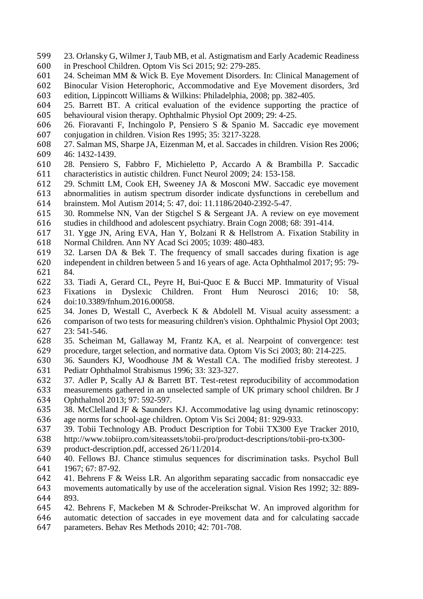- 23. Orlansky G, Wilmer J, Taub MB, et al. Astigmatism and Early Academic Readiness in Preschool Children. Optom Vis Sci 2015; 92: 279-285.
- 24. Scheiman MM & Wick B. Eye Movement Disorders. In: Clinical Management of
- Binocular Vision Heterophoric, Accommodative and Eye Movement disorders, 3rd
- edition, Lippincott Williams & Wilkins: Philadelphia, 2008; pp. 382-405.
- 25. Barrett BT. A critical evaluation of the evidence supporting the practice of behavioural vision therapy. Ophthalmic Physiol Opt 2009; 29: 4-25.
- 26. Fioravanti F, Inchingolo P, Pensiero S & Spanio M. Saccadic eye movement conjugation in children. Vision Res 1995; 35: 3217-3228.
- 27. Salman MS, Sharpe JA, Eizenman M, et al. Saccades in children. Vision Res 2006; 46: 1432-1439.
- 28. Pensiero S, Fabbro F, Michieletto P, Accardo A & Brambilla P. Saccadic characteristics in autistic children. Funct Neurol 2009; 24: 153-158.
- 29. Schmitt LM, Cook EH, Sweeney JA & Mosconi MW. Saccadic eye movement abnormalities in autism spectrum disorder indicate dysfunctions in cerebellum and brainstem. Mol Autism 2014; 5: 47, doi: 11.1186/2040-2392-5-47.
- 30. Rommelse NN, Van der Stigchel S & Sergeant JA. A review on eye movement studies in childhood and adolescent psychiatry. Brain Cogn 2008; 68: 391-414.
- 31. Ygge JN, Aring EVA, Han Y, Bolzani R & Hellstrom A. Fixation Stability in Normal Children. Ann NY Acad Sci 2005; 1039: 480-483.
- 32. Larsen DA & Bek T. The frequency of small saccades during fixation is age independent in children between 5 and 16 years of age. Acta Ophthalmol 2017; 95: 79- 84.
- 33. Tiadi A, Gerard CL, Peyre H, Bui-Quoc E & Bucci MP. Immaturity of Visual Fixations in Dyslexic Children. Front Hum Neurosci 2016; 10: 58, doi:10.3389/fnhum.2016.00058.
- 34. Jones D, Westall C, Averbeck K & Abdolell M. Visual acuity assessment: a
- comparison of two tests for measuring children's vision. Ophthalmic Physiol Opt 2003; 23: 541-546.
- 35. Scheiman M, Gallaway M, Frantz KA, et al. Nearpoint of convergence: test procedure, target selection, and normative data. Optom Vis Sci 2003; 80: 214-225.
- 36. Saunders KJ, Woodhouse JM & Westall CA. The modified frisby stereotest. J Pediatr Ophthalmol Strabismus 1996; 33: 323-327.
- 37. Adler P, Scally AJ & Barrett BT. Test-retest reproducibility of accommodation measurements gathered in an unselected sample of UK primary school children. Br J Ophthalmol 2013; 97: 592-597.
- 38. McClelland JF & Saunders KJ. Accommodative lag using dynamic retinoscopy: age norms for school-age children. Optom Vis Sci 2004; 81: 929-933.
- 39. Tobii Technology AB. Product Description for Tobii TX300 Eye Tracker 2010,
- http://www.tobiipro.com/siteassets/tobii-pro/product-descriptions/tobii-pro-tx300-
- product-description.pdf, accessed 26/11/2014.
- 40. Fellows BJ. Chance stimulus sequences for discrimination tasks. Psychol Bull 1967; 67: 87-92.
- 41. Behrens F & Weiss LR. An algorithm separating saccadic from nonsaccadic eye
- movements automatically by use of the acceleration signal. Vision Res 1992; 32: 889- 893.
- 42. Behrens F, Mackeben M & Schroder-Preikschat W. An improved algorithm for
- automatic detection of saccades in eye movement data and for calculating saccade
- parameters. Behav Res Methods 2010; 42: 701-708.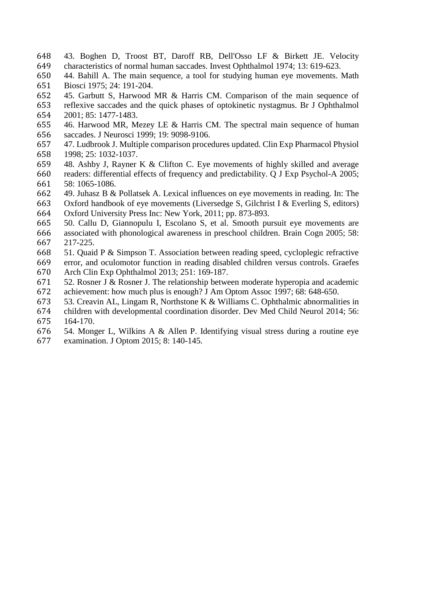- 43. Boghen D, Troost BT, Daroff RB, Dell'Osso LF & Birkett JE. Velocity characteristics of normal human saccades. Invest Ophthalmol 1974; 13: 619-623.
- 44. Bahill A. The main sequence, a tool for studying human eye movements. Math Biosci 1975; 24: 191-204.
- 45. Garbutt S, Harwood MR & Harris CM. Comparison of the main sequence of
- reflexive saccades and the quick phases of optokinetic nystagmus. Br J Ophthalmol 2001; 85: 1477-1483.
- 46. Harwood MR, Mezey LE & Harris CM. The spectral main sequence of human saccades. J Neurosci 1999; 19: 9098-9106.
- 47. Ludbrook J. Multiple comparison procedures updated. Clin Exp Pharmacol Physiol 1998; 25: 1032-1037.
- 48. Ashby J, Rayner K & Clifton C. Eye movements of highly skilled and average readers: differential effects of frequency and predictability. Q J Exp Psychol-A 2005; 58: 1065-1086.
- 49. Juhasz B & Pollatsek A. Lexical influences on eye movements in reading. In: The
- Oxford handbook of eye movements (Liversedge S, Gilchrist I & Everling S, editors) Oxford University Press Inc: New York, 2011; pp. 873-893.
- 50. Callu D, Giannopulu I, Escolano S, et al. Smooth pursuit eye movements are
- associated with phonological awareness in preschool children. Brain Cogn 2005; 58: 217-225.
- 51. Quaid P & Simpson T. Association between reading speed, cycloplegic refractive
- error, and oculomotor function in reading disabled children versus controls. Graefes Arch Clin Exp Ophthalmol 2013; 251: 169-187.
- 52. Rosner J & Rosner J. The relationship between moderate hyperopia and academic achievement: how much plus is enough? J Am Optom Assoc 1997; 68: 648-650.
- 53. Creavin AL, Lingam R, Northstone K & Williams C. Ophthalmic abnormalities in
- children with developmental coordination disorder. Dev Med Child Neurol 2014; 56: 164-170.
- 54. Monger L, Wilkins A & Allen P. Identifying visual stress during a routine eye examination. J Optom 2015; 8: 140-145.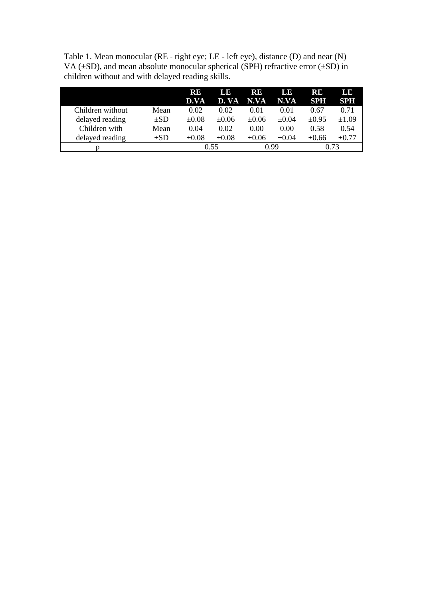| Table 1. Mean monocular ( $RE$ - right eye; $LE$ - left eye), distance (D) and near (N)     |
|---------------------------------------------------------------------------------------------|
| VA ( $\pm$ SD), and mean absolute monocular spherical (SPH) refractive error ( $\pm$ SD) in |
| children without and with delayed reading skills.                                           |

|                  |          | RE         | LE         | 18 B       | LE         | RE         | LE         |
|------------------|----------|------------|------------|------------|------------|------------|------------|
|                  |          | D.VA       | D. VA      | N.VA       | N.VA       | <b>SPH</b> | <b>SPH</b> |
| Children without | Mean     | 0.02       | 0.02       | 0.01       | 0.01       | 0.67       | 0.71       |
| delayed reading  | $\pm SD$ | $\pm 0.08$ | $\pm 0.06$ | $\pm 0.06$ | $\pm 0.04$ | $\pm 0.95$ | $\pm 1.09$ |
| Children with    | Mean     | 0.04       | 0.02       | 0.00       | 0.00       | 0.58       | 0.54       |
| delayed reading  | $\pm SD$ | $\pm 0.08$ | $\pm 0.08$ | ±0.06      | $\pm 0.04$ | $\pm 0.66$ | $\pm 0.77$ |
|                  |          | 0.55       |            | O 99       |            | 0 73       |            |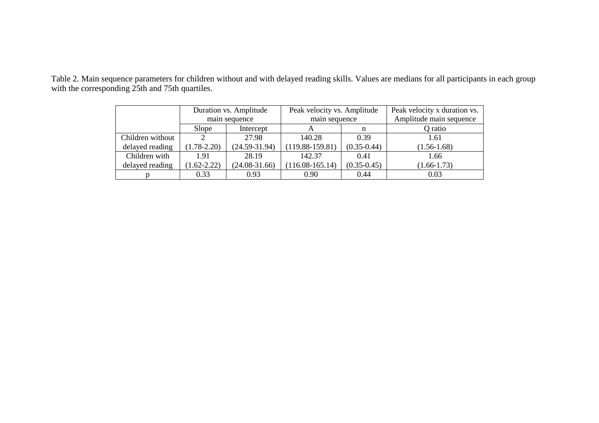Table 2. Main sequence parameters for children without and with delayed reading skills. Values are medians for all participants in each group with the corresponding 25th and 75th quartiles.

|                  | Duration vs. Amplitude |                 | Peak velocity vs. Amplitude |                 | Peak velocity x duration vs. |  |
|------------------|------------------------|-----------------|-----------------------------|-----------------|------------------------------|--|
|                  | main sequence          |                 | main sequence               |                 | Amplitude main sequence      |  |
|                  | Slope                  | Intercept       |                             | n               | Q ratio                      |  |
| Children without |                        | 27.98           | 140.28                      | 0.39            | 1.61                         |  |
| delayed reading  | $(1.78 - 2.20)$        | $(24.59-31.94)$ | $(119.88 - 159.81)$         | $(0.35 - 0.44)$ | $(1.56 - 1.68)$              |  |
| Children with    | 1.91                   | 28.19           | 142.37                      | 0.41            | 1.66                         |  |
| delayed reading  | $1.62 - 2.22$          | $(24.08-31.66)$ | $(116.08-165.14)$           | $(0.35 - 0.45)$ | $(1.66 - 1.73)$              |  |
|                  | 0.33                   | 0.93            | 0.90                        | 0.44            | 0.03                         |  |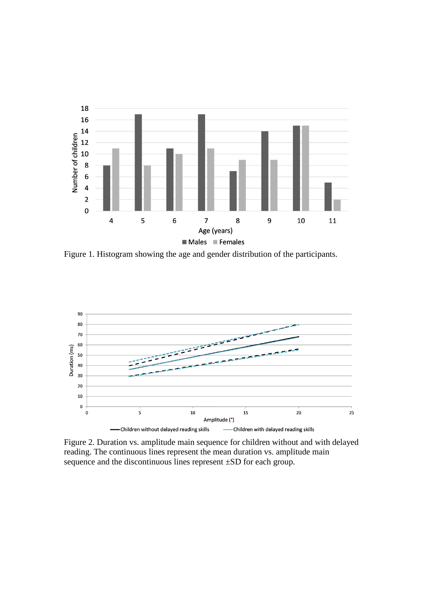

Figure 1. Histogram showing the age and gender distribution of the participants.



Figure 2. Duration vs. amplitude main sequence for children without and with delayed reading. The continuous lines represent the mean duration vs. amplitude main sequence and the discontinuous lines represent ±SD for each group.